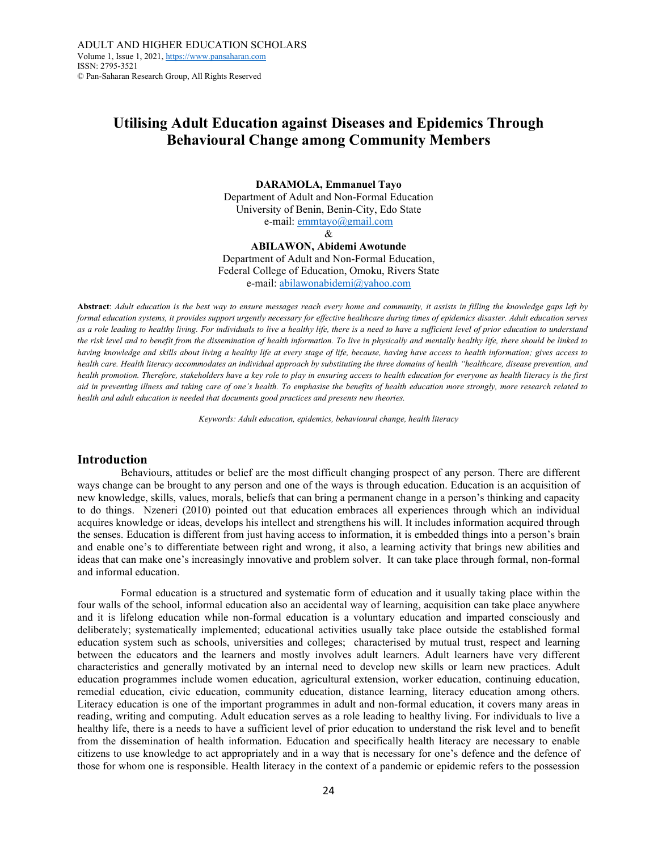# Utilising Adult Education against Diseases and Epidemics Through Behavioural Change among Community Members

DARAMOLA, Emmanuel Tayo Department of Adult and Non-Formal Education University of Benin, Benin-City, Edo State e-mail: emmtayo@gmail.com

&

ABILAWON, Abidemi Awotunde Department of Adult and Non-Formal Education, Federal College of Education, Omoku, Rivers State e-mail: abilawonabidemi@yahoo.com

Abstract: Adult education is the best way to ensure messages reach every home and community, it assists in filling the knowledge gaps left by formal education systems, it provides support urgently necessary for effective healthcare during times of epidemics disaster. Adult education serves as a role leading to healthy living. For individuals to live a healthy life, there is a need to have a sufficient level of prior education to understand the risk level and to benefit from the dissemination of health information. To live in physically and mentally healthy life, there should be linked to having knowledge and skills about living a healthy life at every stage of life, because, having have access to health information; gives access to health care. Health literacy accommodates an individual approach by substituting the three domains of health "healthcare, disease prevention, and health promotion. Therefore, stakeholders have a key role to play in ensuring access to health education for everyone as health literacy is the first aid in preventing illness and taking care of one's health. To emphasise the benefits of health education more strongly, more research related to health and adult education is needed that documents good practices and presents new theories.

Keywords: Adult education, epidemics, behavioural change, health literacy

# Introduction

Behaviours, attitudes or belief are the most difficult changing prospect of any person. There are different ways change can be brought to any person and one of the ways is through education. Education is an acquisition of new knowledge, skills, values, morals, beliefs that can bring a permanent change in a person's thinking and capacity to do things. Nzeneri (2010) pointed out that education embraces all experiences through which an individual acquires knowledge or ideas, develops his intellect and strengthens his will. It includes information acquired through the senses. Education is different from just having access to information, it is embedded things into a person's brain and enable one's to differentiate between right and wrong, it also, a learning activity that brings new abilities and ideas that can make one's increasingly innovative and problem solver. It can take place through formal, non-formal and informal education.

"Formal education is a structured and systematic form of education and it usually taking place within the four walls of the school, informal education also an accidental way of learning, acquisition can take place anywhere and it is lifelong education while non-formal education is a voluntary education and imparted consciously and deliberately; systematically implemented; educational activities usually take place outside the established formal education system such as schools, universities and colleges; characterised by mutual trust, respect and learning between the educators and the learners and mostly involves adult learners. Adult learners have very different characteristics and generally motivated by an internal need to develop new skills or learn new practices. Adult education programmes include women education, agricultural extension, worker education, continuing education, remedial education, civic education, community education, distance learning, literacy education among others. Literacy education is one of the important programmes in adult and non-formal education, it covers many areas in reading, writing and computing. Adult education serves as a role leading to healthy living. For individuals to live a healthy life, there is a needs to have a sufficient level of prior education to understand the risk level and to benefit from the dissemination of health information. Education and specifically health literacy are necessary to enable citizens to use knowledge to act appropriately and in a way that is necessary for one's defence and the defence of those for whom one is responsible. Health literacy in the context of a pandemic or epidemic refers to the possession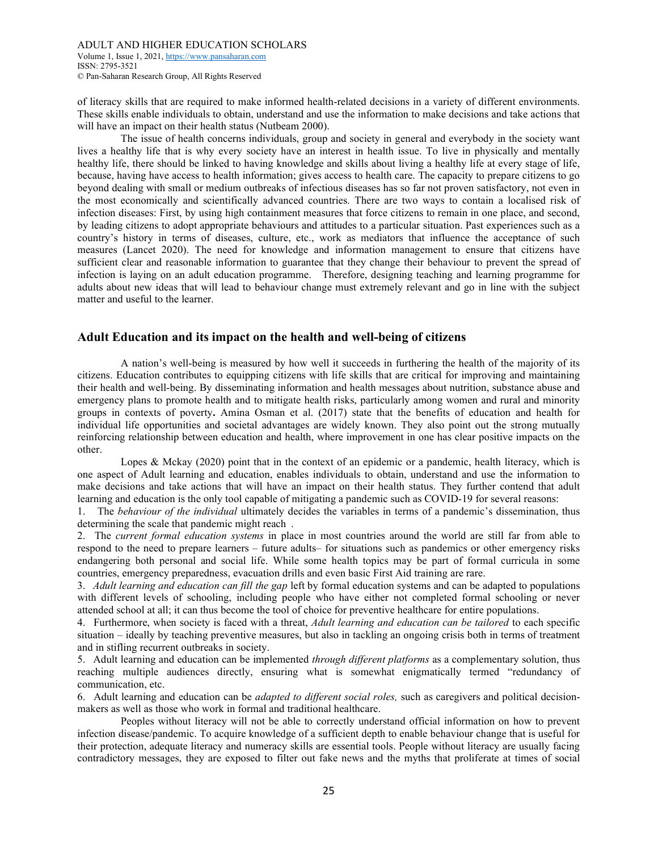Volume 1, Issue 1, 2021, https://www.pansaharan.com ISSN: 2795-3521 © Pan-Saharan Research Group, All Rights Reserved

of literacy skills that are required to make informed health-related decisions in a variety of different environments. These skills enable individuals to obtain, understand and use the information to make decisions and take actions that will have an impact on their health status (Nutbeam 2000).

The issue of health concerns individuals, group and society in general and everybody in the society want lives a healthy life that is why every society have an interest in health issue. To live in physically and mentally healthy life, there should be linked to having knowledge and skills about living a healthy life at every stage of life, because, having have access to health information; gives access to health care. The capacity to prepare citizens to go beyond dealing with small or medium outbreaks of infectious diseases has so far not proven satisfactory, not even in the most economically and scientifically advanced countries. There are two ways to contain a localised risk of infection diseases: First, by using high containment measures that force citizens to remain in one place, and second, by leading citizens to adopt appropriate behaviours and attitudes to a particular situation. Past experiences such as a country's history in terms of diseases, culture, etc., work as mediators that influence the acceptance of such measures (Lancet 2020). The need for knowledge and information management to ensure that citizens have sufficient clear and reasonable information to guarantee that they change their behaviour to prevent the spread of infection is laying on an adult education programme. Therefore, designing teaching and learning programme for adults about new ideas that will lead to behaviour change must extremely relevant and go in line with the subject matter and useful to the learner.

# Adult Education and its impact on the health and well-being of citizens

"A nation's well-being is measured by how well it succeeds in furthering the health of the majority of its citizens. Education contributes to equipping citizens with life skills that are critical for improving and maintaining their health and well-being. By disseminating information and health messages about nutrition, substance abuse and emergency plans to promote health and to mitigate health risks, particularly among women and rural and minority groups in contexts of poverty. Amina Osman et al. (2017) state that the benefits of education and health for individual life opportunities and societal advantages are widely known. They also point out the strong mutually reinforcing relationship between education and health, where improvement in one has clear positive impacts on the other.

Lopes & Mckay (2020) point that in the context of an epidemic or a pandemic, health literacy, which is one aspect of Adult learning and education, enables individuals to obtain, understand and use the information to make decisions and take actions that will have an impact on their health status. They further contend that adult learning and education is the only tool capable of mitigating a pandemic such as COVID-19 for several reasons:

1. The *behaviour of the individual* ultimately decides the variables in terms of a pandemic's dissemination, thus determining the scale that pandemic might reach.

2. The *current formal education systems* in place in most countries around the world are still far from able to respond to the need to prepare learners – future adults– for situations such as pandemics or other emergency risks endangering both personal and social life. While some health topics may be part of formal curricula in some countries, emergency preparedness, evacuation drills and even basic First Aid training are rare."

3. Adult learning and education can fill the gap left by formal education systems and can be adapted to populations with different levels of schooling, including people who have either not completed formal schooling or never attended school at all; it can thus become the tool of choice for preventive healthcare for entire populations."

4. Furthermore, when society is faced with a threat, *Adult learning and education can be tailored* to each specific situation – ideally by teaching preventive measures, but also in tackling an ongoing crisis both in terms of treatment and in stifling recurrent outbreaks in society.

5. Adult learning and education can be implemented *through different platforms* as a complementary solution, thus reaching multiple audiences directly, ensuring what is somewhat enigmatically termed "redundancy of communication, etc.

6. Adult learning and education can be *adapted to different social roles*, such as caregivers and political decisionmakers as well as those who work in formal and traditional healthcare.

Peoples without literacy will not be able to correctly understand official information on how to prevent infection disease/pandemic. To acquire knowledge of a sufficient depth to enable behaviour change that is useful for their protection, adequate literacy and numeracy skills are essential tools. People without literacy are usually facing contradictory messages, they are exposed to filter out fake news and the myths that proliferate at times of social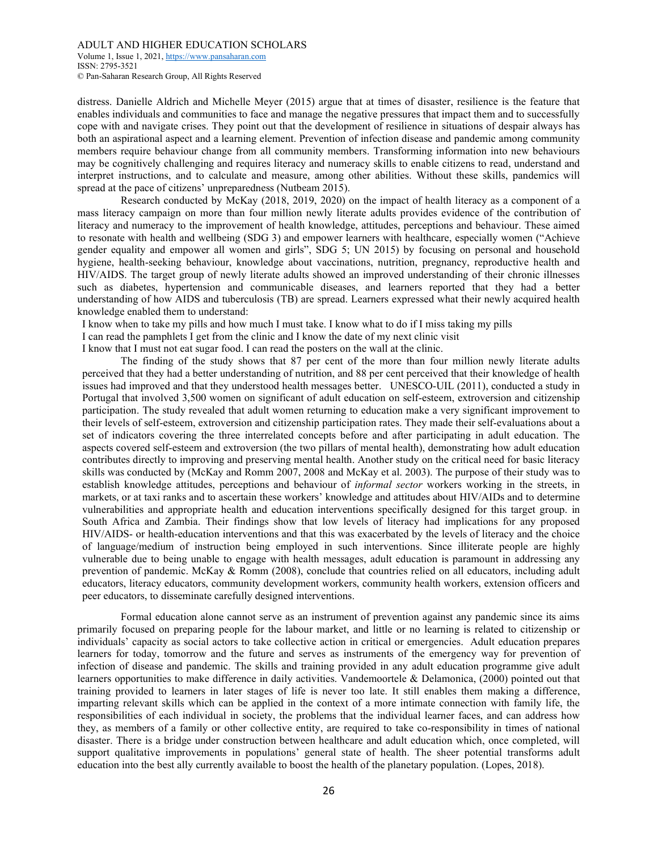Volume 1, Issue 1, 2021, https://www.pansaharan.com ISSN: 2795-3521 © Pan-Saharan Research Group, All Rights Reserved

distress. Danielle Aldrich and Michelle Meyer (2015) argue that at times of disaster, resilience is the feature that enables individuals and communities to face and manage the negative pressures that impact them and to successfully cope with and navigate crises. They point out that the development of resilience in situations of despair always has both an aspirational aspect and a learning element. Prevention of infection disease and pandemic among community members require behaviour change from all community members. Transforming information into new behaviours may be cognitively challenging and requires literacy and numeracy skills to enable citizens to read, understand and interpret instructions, and to calculate and measure, among other abilities. Without these skills, pandemics will spread at the pace of citizens' unpreparedness (Nutbeam 2015).

Research conducted by McKay (2018, 2019, 2020) on the impact of health literacy as a component of a mass literacy campaign on more than four million newly literate adults provides evidence of the contribution of literacy and numeracy to the improvement of health knowledge, attitudes, perceptions and behaviour. These aimed to resonate with health and wellbeing (SDG 3) and empower learners with healthcare, especially women ("Achieve gender equality and empower all women and girls", SDG 5; UN 2015) by focusing on personal and household hygiene, health-seeking behaviour, knowledge about vaccinations, nutrition, pregnancy, reproductive health and HIV/AIDS. The target group of newly literate adults showed an improved understanding of their chronic illnesses such as diabetes, hypertension and communicable diseases, and learners reported that they had a better understanding of how AIDS and tuberculosis (TB) are spread. Learners expressed what their newly acquired health knowledge enabled them to understand:

I know when to take my pills and how much I must take. I know what to do if I miss taking my pills

I can read the pamphlets I get from the clinic and I know the date of my next clinic visit

I know that I must not eat sugar food. I can read the posters on the wall at the clinic.

The finding of the study shows that 87 per cent of the more than four million newly literate adults perceived that they had a better understanding of nutrition, and 88 per cent perceived that their knowledge of health issues had improved and that they understood health messages better. UNESCO-UIL (2011), conducted a study in Portugal that involved 3,500 women on significant of adult education on self-esteem, extroversion and citizenship participation. The study revealed that adult women returning to education make a very significant improvement to their levels of self-esteem, extroversion and citizenship participation rates. They made their self-evaluations about a set of indicators covering the three interrelated concepts before and after participating in adult education. The aspects covered self-esteem and extroversion (the two pillars of mental health), demonstrating how adult education contributes directly to improving and preserving mental health. Another study on the critical need for basic literacy skills was conducted by (McKay and Romm 2007, 2008 and McKay et al. 2003). The purpose of their study was to establish knowledge attitudes, perceptions and behaviour of informal sector workers working in the streets, in markets, or at taxi ranks and to ascertain these workers' knowledge and attitudes about HIV/AIDs and to determine vulnerabilities and appropriate health and education interventions specifically designed for this target group. in South Africa and Zambia. Their findings show that low levels of literacy had implications for any proposed HIV/AIDS- or health-education interventions and that this was exacerbated by the levels of literacy and the choice of language/medium of instruction being employed in such interventions. Since illiterate people are highly vulnerable due to being unable to engage with health messages, adult education is paramount in addressing any prevention of pandemic. McKay & Romm (2008), conclude that countries relied on all educators, including adult educators, literacy educators, community development workers, community health workers, extension officers and peer educators, to disseminate carefully designed interventions."

 "Formal education alone cannot serve as an instrument of prevention against any pandemic since its aims primarily focused on preparing people for the labour market, and little or no learning is related to citizenship or individuals' capacity as social actors to take collective action in critical or emergencies. Adult education prepares learners for today, tomorrow and the future and serves as instruments of the emergency way for prevention of infection of disease and pandemic. The skills and training provided in any adult education programme give adult learners opportunities to make difference in daily activities. Vandemoortele & Delamonica, (2000) pointed out that training provided to learners in later stages of life is never too late. It still enables them making a difference, imparting relevant skills which can be applied in the context of a more intimate connection with family life, the responsibilities of each individual in society, the problems that the individual learner faces, and can address how they, as members of a family or other collective entity, are required to take co-responsibility in times of national disaster. There is a bridge under construction between healthcare and adult education which, once completed, will support qualitative improvements in populations' general state of health. The sheer potential transforms adult education into the best ally currently available to boost the health of the planetary population. (Lopes, 2018).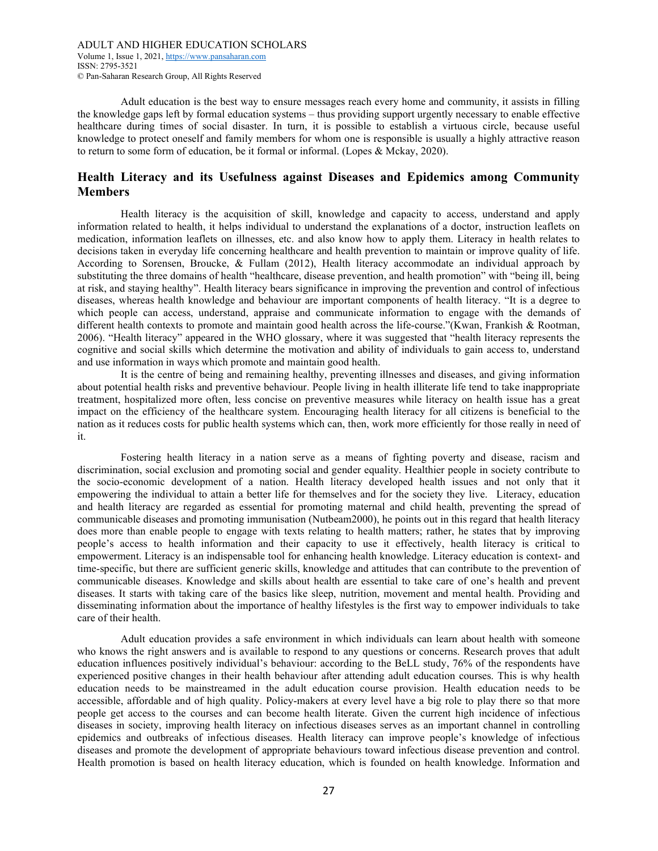"Adult education is the best way to ensure messages reach every home and community, it assists in filling the knowledge gaps left by formal education systems – thus providing support urgently necessary to enable effective healthcare during times of social disaster. In turn, it is possible to establish a virtuous circle, because useful knowledge to protect oneself and family members for whom one is responsible is usually a highly attractive reason to return to some form of education, be it formal or informal. (Lopes & Mckay, 2020).

# Health Literacy and its Usefulness against Diseases and Epidemics among Community Members

"Health literacy is the acquisition of skill, knowledge and capacity to access, understand and apply information related to health, it helps individual to understand the explanations of a doctor, instruction leaflets on medication, information leaflets on illnesses, etc. and also know how to apply them. Literacy in health relates to decisions taken in everyday life concerning healthcare and health prevention to maintain or improve quality of life. According to Sorensen, Broucke, & Fullam (2012), Health literacy accommodate an individual approach by substituting the three domains of health "healthcare, disease prevention, and health promotion" with "being ill, being at risk, and staying healthy". Health literacy bears significance in improving the prevention and control of infectious diseases, whereas health knowledge and behaviour are important components of health literacy. "It is a degree to which people can access, understand, appraise and communicate information to engage with the demands of different health contexts to promote and maintain good health across the life-course."(Kwan, Frankish & Rootman, 2006). "Health literacy" appeared in the WHO glossary, where it was suggested that "health literacy represents the cognitive and social skills which determine the motivation and ability of individuals to gain access to, understand and use information in ways which promote and maintain good health.

It is the centre of being and remaining healthy, preventing illnesses and diseases, and giving information about potential health risks and preventive behaviour. People living in health illiterate life tend to take inappropriate treatment, hospitalized more often, less concise on preventive measures while literacy on health issue has a great impact on the efficiency of the healthcare system. Encouraging health literacy for all citizens is beneficial to the nation as it reduces costs for public health systems which can, then, work more efficiently for those really in need of it.

"Fostering health literacy in a nation serve as a means of fighting poverty and disease, racism and discrimination, social exclusion and promoting social and gender equality. Healthier people in society contribute to the socio-economic development of a nation. Health literacy developed health issues and not only that it empowering the individual to attain a better life for themselves and for the society they live." Literacy, education and health literacy are regarded as essential for promoting maternal and child health, preventing the spread of communicable diseases and promoting immunisation (Nutbeam2000), he points out in this regard that health literacy does more than enable people to engage with texts relating to health matters; rather, he states that by improving people's access to health information and their capacity to use it effectively, health literacy is critical to empowerment. Literacy is an indispensable tool for enhancing health knowledge. Literacy education is context- and time-specific, but there are sufficient generic skills, knowledge and attitudes that can contribute to the prevention of communicable diseases. Knowledge and skills about health are essential to take care of one's health and prevent diseases. It starts with taking care of the basics like sleep, nutrition, movement and mental health. Providing and disseminating information about the importance of healthy lifestyles is the first way to empower individuals to take care of their health.

Adult education provides a safe environment in which individuals can learn about health with someone who knows the right answers and is available to respond to any questions or concerns. Research proves that adult education influences positively individual's behaviour: according to the BeLL study, 76% of the respondents have experienced positive changes in their health behaviour after attending adult education courses. This is why health education needs to be mainstreamed in the adult education course provision. Health education needs to be accessible, affordable and of high quality. Policy-makers at every level have a big role to play there so that more people get access to the courses and can become health literate. Given the current high incidence of infectious diseases in society, improving health literacy on infectious diseases serves as an important channel in controlling epidemics and outbreaks of infectious diseases. Health literacy can improve people's knowledge of infectious diseases and promote the development of appropriate behaviours toward infectious disease prevention and control. Health promotion is based on health literacy education, which is founded on health knowledge. Information and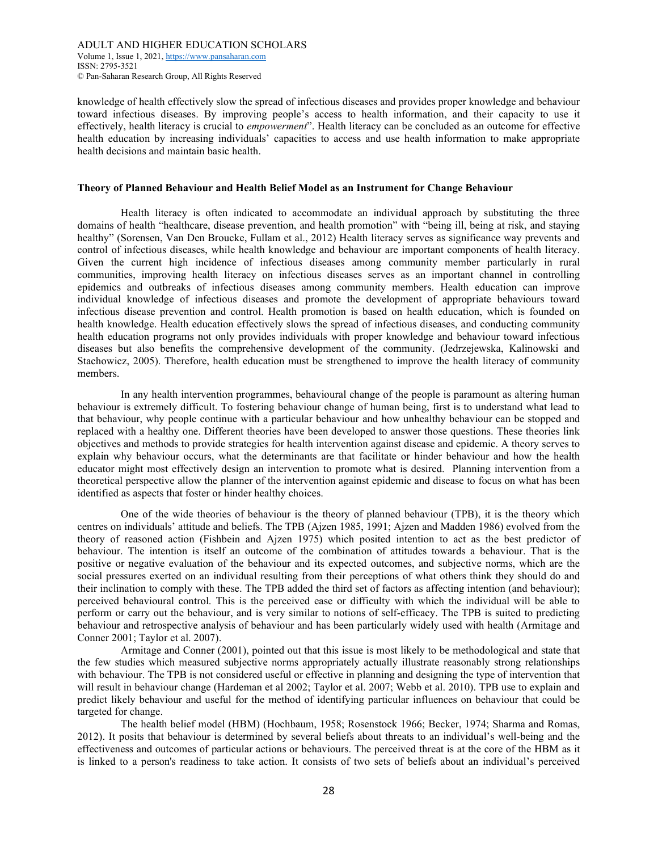#### ADULT AND HIGHER EDUCATION SCHOLARS Volume 1, Issue 1, 2021, https://www.pansaharan.com ISSN: 2795-3521 © Pan-Saharan Research Group, All Rights Reserved

knowledge of health effectively slow the spread of infectious diseases and provides proper knowledge and behaviour toward infectious diseases. By improving people's access to health information, and their capacity to use it effectively, health literacy is crucial to empowerment". Health literacy can be concluded as an outcome for effective health education by increasing individuals' capacities to access and use health information to make appropriate health decisions and maintain basic health.

#### Theory of Planned Behaviour and Health Belief Model as an Instrument for Change Behaviour

"Health literacy is often indicated to accommodate an individual approach by substituting the three domains of health "healthcare, disease prevention, and health promotion" with "being ill, being at risk, and staying healthy" (Sorensen, Van Den Broucke, Fullam et al., 2012) Health literacy serves as significance way prevents and control of infectious diseases, while health knowledge and behaviour are important components of health literacy. Given the current high incidence of infectious diseases among community member particularly in rural communities, improving health literacy on infectious diseases serves as an important channel in controlling epidemics and outbreaks of infectious diseases among community members. Health education can improve individual knowledge of infectious diseases and promote the development of appropriate behaviours toward infectious disease prevention and control. Health promotion is based on health education, which is founded on health knowledge. Health education effectively slows the spread of infectious diseases, and conducting community health education programs not only provides individuals with proper knowledge and behaviour toward infectious diseases but also benefits the comprehensive development of the community. (Jedrzejewska, Kalinowski and Stachowicz, 2005). Therefore, health education must be strengthened to improve the health literacy of community members.

In any health intervention programmes, behavioural change of the people is paramount as altering human behaviour is extremely difficult. To fostering behaviour change of human being, first is to understand what lead to that behaviour, why people continue with a particular behaviour and how unhealthy behaviour can be stopped and replaced with a healthy one. Different theories have been developed to answer those questions. These theories link objectives and methods to provide strategies for health intervention against disease and epidemic. A theory serves to explain why behaviour occurs, what the determinants are that facilitate or hinder behaviour and how the health educator might most effectively design an intervention to promote what is desired. Planning intervention from a theoretical perspective allow the planner of the intervention against epidemic and disease to focus on what has been identified as aspects that foster or hinder healthy choices.

"One of the wide theories of behaviour is the theory of planned behaviour (TPB), it is the theory which centres on individuals' attitude and beliefs. The TPB (Ajzen 1985, 1991; Ajzen and Madden 1986) evolved from the theory of reasoned action (Fishbein and Ajzen 1975) which posited intention to act as the best predictor of behaviour. The intention is itself an outcome of the combination of attitudes towards a behaviour. That is the positive or negative evaluation of the behaviour and its expected outcomes, and subjective norms, which are the social pressures exerted on an individual resulting from their perceptions of what others think they should do and their inclination to comply with these. The TPB added the third set of factors as affecting intention (and behaviour); perceived behavioural control. This is the perceived ease or difficulty with which the individual will be able to perform or carry out the behaviour, and is very similar to notions of self-efficacy. The TPB is suited to predicting behaviour and retrospective analysis of behaviour and has been particularly widely used with health (Armitage and Conner 2001; Taylor et al. 2007).

Armitage and Conner (2001), pointed out that this issue is most likely to be methodological and state that the few studies which measured subjective norms appropriately actually illustrate reasonably strong relationships with behaviour. The TPB is not considered useful or effective in planning and designing the type of intervention that will result in behaviour change (Hardeman et al 2002; Taylor et al. 2007; Webb et al. 2010). TPB use to explain and predict likely behaviour and useful for the method of identifying particular influences on behaviour that could be targeted for change.

The health belief model (HBM) (Hochbaum, 1958; Rosenstock 1966; Becker, 1974; Sharma and Romas, 2012). It posits that behaviour is determined by several beliefs about threats to an individual's well-being and the effectiveness and outcomes of particular actions or behaviours. The perceived threat is at the core of the HBM as it is linked to a person's readiness to take action. It consists of two sets of beliefs about an individual's perceived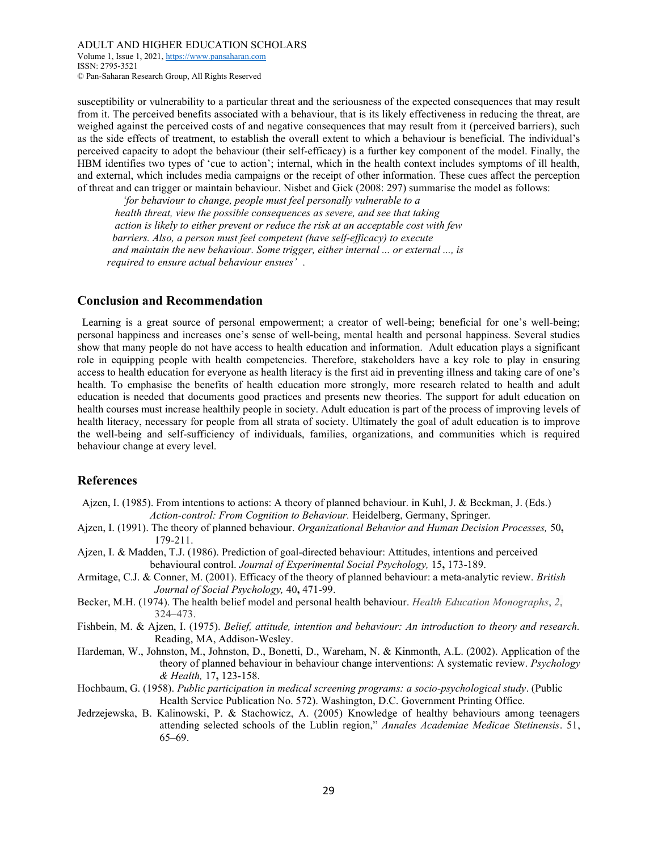Volume 1, Issue 1, 2021, https://www.pansaharan.com ISSN: 2795-3521 © Pan-Saharan Research Group, All Rights Reserved

susceptibility or vulnerability to a particular threat and the seriousness of the expected consequences that may result from it. The perceived benefits associated with a behaviour, that is its likely effectiveness in reducing the threat, are weighed against the perceived costs of and negative consequences that may result from it (perceived barriers), such as the side effects of treatment, to establish the overall extent to which a behaviour is beneficial. The individual's perceived capacity to adopt the behaviour (their self-efficacy) is a further key component of the model. Finally, the HBM identifies two types of 'cue to action'; internal, which in the health context includes symptoms of ill health, and external, which includes media campaigns or the receipt of other information. These cues affect the perception of threat and can trigger or maintain behaviour. Nisbet and Gick (2008: 297) summarise the model as follows:"

 "'for behaviour to change, people must feel personally vulnerable to a health threat, view the possible consequences as severe, and see that taking action is likely to either prevent or reduce the risk at an acceptable cost with few barriers. Also, a person must feel competent (have self-efficacy) to execute and maintain the new behaviour. Some trigger, either internal ... or external ..., is required to ensure actual behaviour ensues'.

# Conclusion and Recommendation

Learning is a great source of personal empowerment; a creator of well-being; beneficial for one's well-being; personal happiness and increases one's sense of well-being, mental health and personal happiness. Several studies show that many people do not have access to health education and information. Adult education plays a significant role in equipping people with health competencies. Therefore, stakeholders have a key role to play in ensuring access to health education for everyone as health literacy is the first aid in preventing illness and taking care of one's health. To emphasise the benefits of health education more strongly, more research related to health and adult education is needed that documents good practices and presents new theories. The support for adult education on health courses must increase healthily people in society. Adult education is part of the process of improving levels of health literacy, necessary for people from all strata of society. Ultimately the goal of adult education is to improve the well-being and self-sufficiency of individuals, families, organizations, and communities which is required behaviour change at every level.

# References

- Ajzen, I. (1985). From intentions to actions: A theory of planned behaviour. in Kuhl, J. & Beckman, J. (Eds.) Action-control: From Cognition to Behaviour. Heidelberg, Germany, Springer.
- Ajzen, I. (1991). The theory of planned behaviour. Organizational Behavior and Human Decision Processes, 50, 179-211.
- Ajzen, I. & Madden, T.J. (1986). Prediction of goal-directed behaviour: Attitudes, intentions and perceived behavioural control. Journal of Experimental Social Psychology, 15, 173-189.
- Armitage, C.J. & Conner, M. (2001). Efficacy of the theory of planned behaviour: a meta-analytic review. British Journal of Social Psychology, 40, 471-99.
- Becker, M.H. (1974). The health belief model and personal health behaviour. Health Education Monographs, 2, 324–473.
- Fishbein, M. & Ajzen, I. (1975). Belief, attitude, intention and behaviour: An introduction to theory and research. Reading, MA, Addison-Wesley.
- Hardeman, W., Johnston, M., Johnston, D., Bonetti, D., Wareham, N. & Kinmonth, A.L. (2002). Application of the theory of planned behaviour in behaviour change interventions: A systematic review. Psychology & Health, 17, 123-158.
- Hochbaum, G. (1958). Public participation in medical screening programs: a socio-psychological study. (Public Health Service Publication No. 572). Washington, D.C. Government Printing Office.
- Jedrzejewska, B. Kalinowski, P. & Stachowicz, A. (2005) Knowledge of healthy behaviours among teenagers attending selected schools of the Lublin region," Annales Academiae Medicae Stetinensis. 51, 65–69.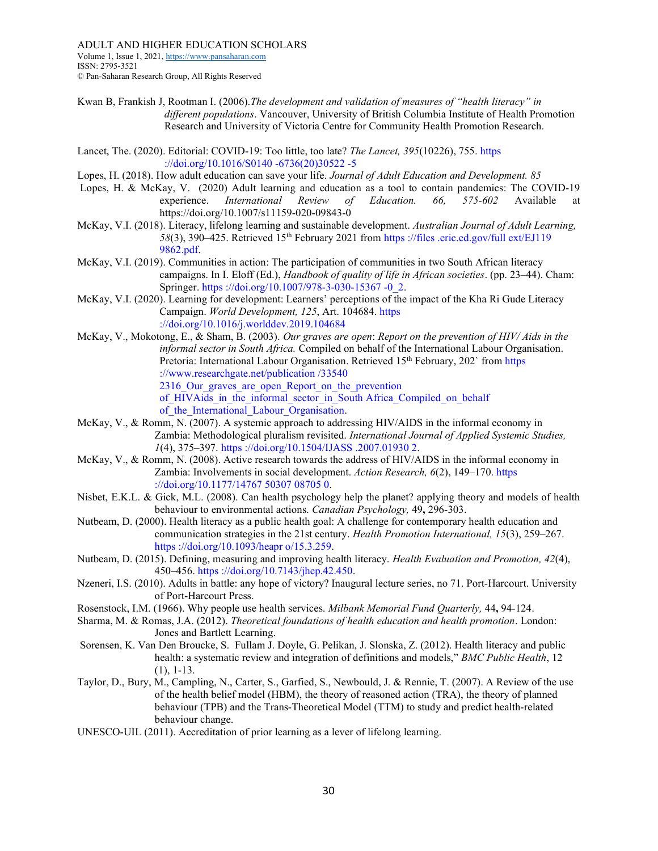Volume 1, Issue 1, 2021, https://www.pansaharan.com ISSN: 2795-3521 © Pan-Saharan Research Group, All Rights Reserved

- Kwan B, Frankish J, Rootman I. (2006). The development and validation of measures of "health literacy" in different populations. Vancouver, University of British Columbia Institute of Health Promotion Research and University of Victoria Centre for Community Health Promotion Research.
- Lancet, The. (2020). Editorial: COVID-19: Too little, too late? The Lancet, 395(10226), 755. https ://doi.org/10.1016/S0140 -6736(20)30522 -5
- Lopes, H. (2018). How adult education can save your life. Journal of Adult Education and Development. 85
- Lopes, H. & McKay, V. (2020) Adult learning and education as a tool to contain pandemics: The COVID-19 experience. International Review of Education. 66, 575-602 Available at https://doi.org/10.1007/s11159-020-09843-0
- McKay, V.I. (2018). Literacy, lifelong learning and sustainable development. Australian Journal of Adult Learning, 58(3), 390–425. Retrieved 15th February 2021 from https ://files .eric.ed.gov/full ext/EJ119 9862.pdf.
- McKay, V.I. (2019). Communities in action: The participation of communities in two South African literacy campaigns. In I. Eloff (Ed.), *Handbook of quality of life in African societies*. (pp. 23–44). Cham: Springer. https://doi.org/10.1007/978-3-030-15367 -0\_2.
- McKay, V.I. (2020). Learning for development: Learners' perceptions of the impact of the Kha Ri Gude Literacy Campaign. World Development, 125, Art. 104684. https ://doi.org/10.1016/j.worlddev.2019.104684
- McKay, V., Mokotong, E., & Sham, B. (2003). Our graves are open: Report on the prevention of HIV/ Aids in the informal sector in South Africa. Compiled on behalf of the International Labour Organisation. Pretoria: International Labour Organisation. Retrieved 15<sup>th</sup> February, 202` from https ://www.researchgate.net/publication /33540 2316 Our graves are open Report on the prevention of HIVAids in the informal sector in South Africa Compiled on behalf of the International Labour Organisation.
- McKay, V., & Romm, N. (2007). A systemic approach to addressing HIV/AIDS in the informal economy in Zambia: Methodological pluralism revisited. International Journal of Applied Systemic Studies, 1(4), 375–397. https ://doi.org/10.1504/IJASS .2007.01930 2.
- McKay, V., & Romm, N. (2008). Active research towards the address of HIV/AIDS in the informal economy in Zambia: Involvements in social development. Action Research, 6(2), 149–170. https ://doi.org/10.1177/14767 50307 08705 0.
- Nisbet, E.K.L. & Gick, M.L. (2008). Can health psychology help the planet? applying theory and models of health behaviour to environmental actions. Canadian Psychology, 49, 296-303.
- Nutbeam, D. (2000). Health literacy as a public health goal: A challenge for contemporary health education and communication strategies in the 21st century. Health Promotion International, 15(3), 259–267. https ://doi.org/10.1093/heapr o/15.3.259.
- Nutbeam, D. (2015). Defining, measuring and improving health literacy. Health Evaluation and Promotion, 42(4), 450–456. https ://doi.org/10.7143/jhep.42.450.
- Nzeneri, I.S. (2010). Adults in battle: any hope of victory? Inaugural lecture series, no 71. Port-Harcourt. University of Port-Harcourt Press.
- Rosenstock, I.M. (1966). Why people use health services. Milbank Memorial Fund Quarterly, 44, 94-124.
- Sharma, M. & Romas, J.A. (2012). Theoretical foundations of health education and health promotion. London: Jones and Bartlett Learning.
- Sorensen, K. Van Den Broucke, S. Fullam J. Doyle, G. Pelikan, J. Slonska, Z. (2012). Health literacy and public health: a systematic review and integration of definitions and models," BMC Public Health, 12 (1), 1-13.
- Taylor, D., Bury, M., Campling, N., Carter, S., Garfied, S., Newbould, J. & Rennie, T. (2007). A Review of the use of the health belief model (HBM), the theory of reasoned action (TRA), the theory of planned behaviour (TPB) and the Trans-Theoretical Model (TTM) to study and predict health-related behaviour change.
- UNESCO-UIL (2011). Accreditation of prior learning as a lever of lifelong learning.